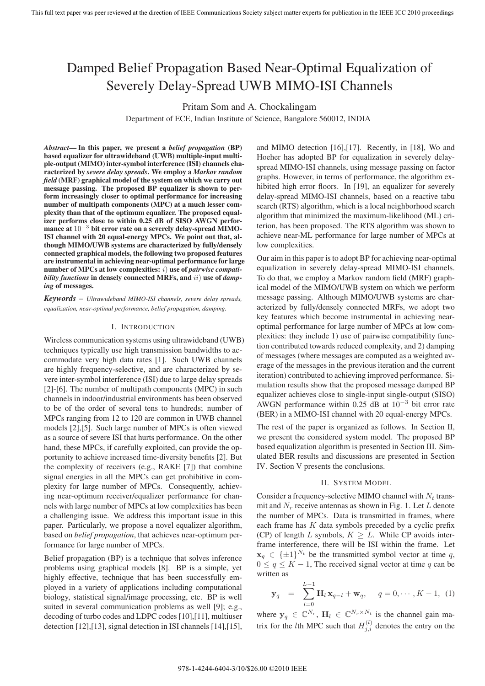# Damped Belief Propagation Based Near-Optimal Equalization of Severely Delay-Spread UWB MIMO-ISI Channels

Pritam Som and A. Chockalingam

Department of ECE, Indian Institute of Science, Bangalore 560012, INDIA

*Abstract***— In this paper, we present a** *belief propagation* **(BP) based equalizer for ultrawideband (UWB) multiple-input multiple-output (MIMO) inter-symbol interference (ISI) channels characterized by** *severe delay spreads***. We employ a** *Markov random field* **(MRF) graphical model of the system on which we carry out message passing. The proposed BP equalizer is shown to perform increasingly closer to optimal performance for increasing number of multipath components (MPC) at a much lesser complexity than that of the optimum equalizer. The proposed equalizer performs close to within 0.25 dB of SISO AWGN performance at** 10<sup>−</sup><sup>3</sup> **bit error rate on a severely delay-spread MIMO-ISI channel with 20 equal-energy MPCs. We point out that, although MIMO/UWB systems are characterized by fully/densely connected graphical models, the following two proposed features are instrumental in achieving near-optimal performance for large number of MPCs at low complexities:** i) **use of** *pairwise compatibility functions* **in densely connected MRFs, and** ii) **use of** *damping* **of messages.**

*Keywords* – *Ultrawideband MIMO-ISI channels, severe delay spreads, equalization, near-optimal performance, belief propagation, damping.*

## I. INTRODUCTION

Wireless communication systems using ultrawideband (UWB) techniques typically use high transmission bandwidths to accommodate very high data rates [1]. Such UWB channels are highly frequency-selective, and are characterized by severe inter-symbol interference (ISI) due to large delay spreads [2]-[6]. The number of multipath components (MPC) in such channels in indoor/industrial environments has been observed to be of the order of several tens to hundreds; number of MPCs ranging from 12 to 120 are common in UWB channel models [2],[5]. Such large number of MPCs is often viewed as a source of severe ISI that hurts performance. On the other hand, these MPCs, if carefully exploited, can provide the opportunity to achieve increased time-diversity benefits [2]. But the complexity of receivers (e.g., RAKE [7]) that combine signal energies in all the MPCs can get prohibitive in complexity for large number of MPCs. Consequently, achieving near-optimum receiver/equalizer performance for channels with large number of MPCs at low complexities has been a challenging issue. We address this important issue in this paper. Particularly, we propose a novel equalizer algorithm, based on *belief propagation*, that achieves near-optimum performance for large number of MPCs.

Belief propagation (BP) is a technique that solves inference problems using graphical models [8]. BP is a simple, yet highly effective, technique that has been successfully employed in a variety of applications including computational biology, statistical signal/image processing, etc. BP is well suited in several communication problems as well [9]; e.g., decoding of turbo codes and LDPC codes [10],[11], multiuser detection [12],[13], signal detection in ISI channels [14],[15],

and MIMO detection [16],[17]. Recently, in [18], Wo and Hoeher has adopted BP for equalization in severely delayspread MIMO-ISI channels, using message passing on factor graphs. However, in terms of performance, the algorithm exhibited high error floors. In [19], an equalizer for severely delay-spread MIMO-ISI channels, based on a reactive tabu search (RTS) algorithm, which is a local neighborhood search algorithm that minimized the maximum-likelihood (ML) criterion, has been proposed. The RTS algorithm was shown to achieve near-ML performance for large number of MPCs at low complexities.

Our aim in this paper is to adopt BP for achieving near-optimal equalization in severely delay-spread MIMO-ISI channels. To do that, we employ a Markov random field (MRF) graphical model of the MIMO/UWB system on which we perform message passing. Although MIMO/UWB systems are characterized by fully/densely connected MRFs, we adopt two key features which become instrumental in achieving nearoptimal performance for large number of MPCs at low complexities: they include 1) use of pairwise compatibility function contributed towards reduced complexity, and 2) damping of messages (where messages are computed as a weighted average of the messages in the previous iteration and the current iteration) contributed to achieving improved performance. Simulation results show that the proposed message damped BP equalizer achieves close to single-input single-output (SISO) AWGN performance within 0.25 dB at  $10^{-3}$  bit error rate (BER) in a MIMO-ISI channel with 20 equal-energy MPCs.

The rest of the paper is organized as follows. In Section II, we present the considered system model. The proposed BP based equalization algorithm is presented in Section III. Simulated BER results and discussions are presented in Section IV. Section V presents the conclusions.

### II. SYSTEM MODEL

Consider a frequency-selective MIMO channel with N*<sup>t</sup>* transmit and N<sub>r</sub> receive antennas as shown in Fig. 1. Let L denote the number of MPCs. Data is transmitted in frames, where each frame has  $K$  data symbols preceded by a cyclic prefix (CP) of length L symbols,  $K \geq L$ . While CP avoids interframe interference, there will be ISI within the frame. Let  $\mathbf{x}_q \in {\{\pm 1\}}^{N_t}$  be the transmitted symbol vector at time q,  $0 \le q \le K - 1$ , The received signal vector at time q can be written as

$$
\mathbf{y}_q = \sum_{l=0}^{L-1} \mathbf{H}_l \mathbf{x}_{q-l} + \mathbf{w}_q, \quad q = 0, \cdots, K-1, (1)
$$

where  $y_q \in \mathbb{C}^{N_r}$ ,  $\mathbf{H}_l \in \mathbb{C}^{N_r \times N_t}$  is the channel gain matrix for the *l*th MPC such that  $H_{j,i}^{(l)}$  denotes the entry on the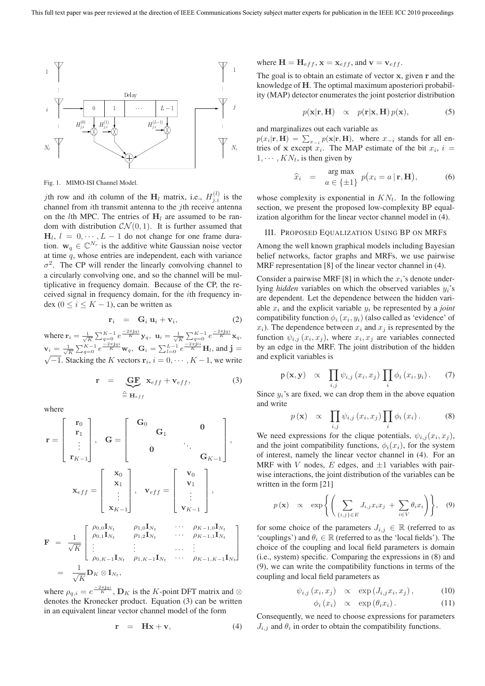

Fig. 1. MIMO-ISI Channel Model.

*j*th row and *i*th column of the  $H_l$  matrix, i.e.,  $H_{j,i}^{(l)}$  is the channel from *i*th transmit antenna to the *j*th receive antenna on the *l*th MPC. The entries of  $H_l$  are assumed to be random with distribution  $CN(0, 1)$ . It is further assumed that  $H_l$ ,  $l = 0, \dots, L - 1$  do not change for one frame duration.  $\mathbf{w}_q \in \mathbb{C}^{N_r}$  is the additive white Gaussian noise vector at time q, whose entries are independent, each with variance  $\sigma^2$ . The CP will render the linearly convolving channel to a circularly convolving one, and so the channel will be multiplicative in frequency domain. Because of the CP, the received signal in frequency domain, for the ith frequency index ( $0 \le i \le K - 1$ ), can be written as

$$
\mathbf{r}_i = \mathbf{G}_i \mathbf{u}_i + \mathbf{v}_i, \tag{2}
$$

where  $\mathbf{r}_i = \frac{1}{\sqrt{K}} \sum_{q=0}^{K-1} e^{\frac{-2\pi i q i}{K}} \mathbf{y}_q$ ,  $\mathbf{u}_i = \frac{1}{\sqrt{K}} \sum_{q=0}^{K-1} e^{\frac{-2\pi i q i}{K}} \mathbf{x}_q$ ,  $\mathbf{v}_i = \frac{1}{\sqrt{K}} \sum_{q=0}^{K-1} e^{\frac{-2\pi \mathbf{j} q i}{K}} \mathbf{w}_q$ ,  $\mathbf{G}_i = \sum_{l=0}^{L-1} e^{\frac{-2\pi \mathbf{j} l i}{K}} \mathbf{H}_l$ , and  $\mathbf{j} = \sqrt{-1}$ . Stacking the K vectors  $\mathbf{r}_i$ ,  $i = 0, \dots, K-1$ , we write

$$
\mathbf{r} = \underbrace{\mathbf{G}\mathbf{F}}_{\triangleq \mathbf{H}_{eff}} \mathbf{x}_{eff} + \mathbf{v}_{eff}, \tag{3}
$$

where

$$
\mathbf{r} = \begin{bmatrix} \mathbf{r}_0 \\ \mathbf{r}_1 \\ \vdots \\ \mathbf{r}_{K-1} \end{bmatrix}, \quad \mathbf{G} = \begin{bmatrix} \mathbf{G}_0 & & & & 0 \\ & \mathbf{G}_1 & & & 0 \\ & & \ddots & & \\ & & & \mathbf{G}_{K-1} \end{bmatrix},
$$
\n
$$
\mathbf{x}_{eff} = \begin{bmatrix} \mathbf{x}_0 \\ \mathbf{x}_1 \\ \vdots \\ \mathbf{x}_{K-1} \end{bmatrix}, \quad \mathbf{v}_{eff} = \begin{bmatrix} \mathbf{v}_0 \\ \mathbf{v}_1 \\ \vdots \\ \mathbf{v}_{K-1} \end{bmatrix},
$$
\n
$$
\mathbf{F} = \frac{1}{\sqrt{K}} \begin{bmatrix} \rho_{0,0} \mathbf{I}_{N_t} & \rho_{1,0} \mathbf{I}_{N_t} & \cdots & \rho_{K-1,0} \mathbf{I}_{N_t} \\ \vdots & \vdots & \cdots & \vdots \\ \rho_{0,K-1} \mathbf{I}_{N_t} & \rho_{1,K-1} \mathbf{I}_{N_t} & \cdots & \rho_{K-1,1} \mathbf{I}_{N_t} \end{bmatrix}
$$
\n
$$
= \frac{1}{\sqrt{K}} \mathbf{D}_K \otimes \mathbf{I}_{N_t},
$$

where  $\rho_{q,i} = e^{\frac{-2\pi j q i}{K}}$ ,  $\mathbf{D}_K$  is the K-point DFT matrix and  $\otimes$ denotes the Kronecker product. Equation (3) can be written in an equivalent linear vector channel model of the form

$$
\mathbf{r} = \mathbf{H}\mathbf{x} + \mathbf{v}, \tag{4}
$$

where  $\mathbf{H} = \mathbf{H}_{eff}$ ,  $\mathbf{x} = \mathbf{x}_{eff}$ , and  $\mathbf{v} = \mathbf{v}_{eff}$ .

The goal is to obtain an estimate of vector **x**, given **r** and the knowledge of **H**. The optimal maximum aposteriori probability (MAP) detector enumerates the joint posterior distribution

$$
p(\mathbf{x}|\mathbf{r}, \mathbf{H}) \propto p(\mathbf{r}|\mathbf{x}, \mathbf{H}) p(\mathbf{x}), \tag{5}
$$

and marginalizes out each variable as

 $p(x_i|\mathbf{r}, \mathbf{H}) = \sum_{x_{-i}} p(\mathbf{x}|\mathbf{r}, \mathbf{H})$ , where  $x_{-i}$  stands for all entries of **x** except  $x_i$ . The MAP estimate of the bit  $x_i$ ,  $i =$  $1, \cdots, KN_t$ , is then given by

$$
\widehat{x}_i = \arg \max_{a \in \{\pm 1\}} p(x_i = a \mid \mathbf{r}, \mathbf{H}), \tag{6}
$$

whose complexity is exponential in  $KN_t$ . In the following section, we present the proposed low-complexity BP equalization algorithm for the linear vector channel model in (4).

#### III. PROPOSED EQUALIZATION USING BP ON MRFS

Among the well known graphical models including Bayesian belief networks, factor graphs and MRFs, we use pairwise MRF representation [8] of the linear vector channel in (4).

Consider a pairwise MRF [8] in which the  $x_i$ 's denote underlying *hidden* variables on which the observed variables y*i*'s are dependent. Let the dependence between the hidden variable x*<sup>i</sup>* and the explicit variable y*<sup>i</sup>* be represented by a *joint* compatibility function  $\phi_i(x_i, y_i)$  (also called as 'evidence' of  $x_i$ ). The dependence between  $x_i$  and  $x_j$  is represented by the function  $\psi_{i,j}(x_i, x_j)$ , where  $x_i, x_j$  are variables connected by an edge in the MRF. The joint distribution of the hidden and explicit variables is

$$
p(\mathbf{x}, \mathbf{y}) \propto \prod_{i,j} \psi_{i,j} (x_i, x_j) \prod_i \phi_i (x_i, y_i). \quad (7)
$$

Since  $y_i$ 's are fixed, we can drop them in the above equation and write

$$
p(\mathbf{x}) \propto \prod_{i,j} \psi_{i,j} (x_i, x_j) \prod_i \phi_i (x_i). \qquad (8)
$$

We need expressions for the clique potentials,  $\psi_{i,j}(x_i, x_j)$ , and the joint compatibility functions,  $\phi_i(x_i)$ , for the system of interest, namely the linear vector channel in (4). For an MRF with V nodes, E edges, and  $\pm 1$  variables with pairwise interactions, the joint distribution of the variables can be written in the form [21]

$$
p(\mathbf{x}) \propto \exp\left\{ \left( \sum_{\{i,j\} \in E} J_{i,j} x_i x_j + \sum_{i \in V} \theta_i x_i \right) \right\},\quad(9)
$$

for some choice of the parameters  $J_{i,j} \in \mathbb{R}$  (referred to as 'couplings') and  $\theta_i \in \mathbb{R}$  (referred to as the 'local fields'). The choice of the coupling and local field parameters is domain (i.e., system) specific. Comparing the expressions in (8) and (9), we can write the compatibility functions in terms of the coupling and local field parameters as

$$
\psi_{i,j}(x_i, x_j) \propto \exp\left(J_{i,j}x_i, x_j\right), \quad (10)
$$

$$
\phi_i(x_i) \quad \propto \quad \exp\left(\theta_i x_i\right). \tag{11}
$$

Consequently, we need to choose expressions for parameters  $J_{i,j}$  and  $\theta_i$  in order to obtain the compatibility functions.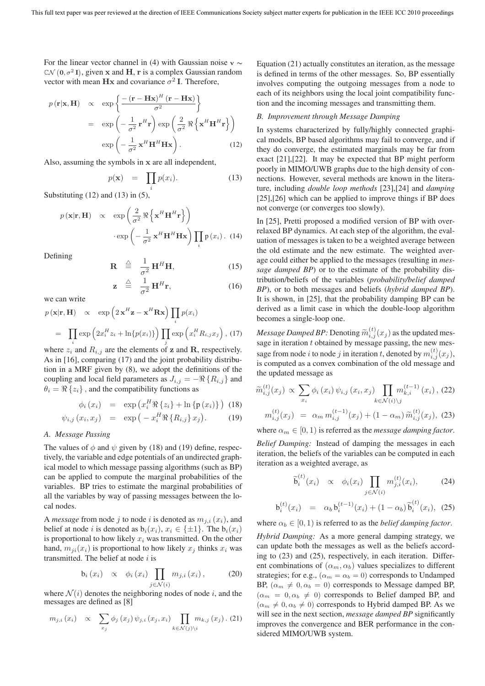For the linear vector channel in (4) with Gaussian noise **v** ∼  $\mathbb{C}\mathcal{N}$  (0,  $\sigma^2$  I), given **x** and **H**, **r** is a complex Gaussian random vector with mean  $\mathbf{Hx}$  and covariance  $\sigma^2 \mathbf{I}$ . Therefore,

$$
p(\mathbf{r}|\mathbf{x}, \mathbf{H}) \propto \exp\left\{ \frac{- (\mathbf{r} - \mathbf{H}\mathbf{x})^H (\mathbf{r} - \mathbf{H}\mathbf{x})}{\sigma^2} \right\}
$$
  
= 
$$
\exp\left(-\frac{1}{\sigma^2} \mathbf{r}^H \mathbf{r}\right) \exp\left(\frac{2}{\sigma^2} \Re\left\{\mathbf{x}^H \mathbf{H}^H \mathbf{r}\right\}\right)
$$
  

$$
\exp\left(-\frac{1}{\sigma^2} \mathbf{x}^H \mathbf{H}^H \mathbf{H}\mathbf{x}\right). \tag{12}
$$

Also, assuming the symbols in **x** are all independent,

$$
p(\mathbf{x}) = \prod_{i} p(x_i). \tag{13}
$$

Substituting  $(12)$  and  $(13)$  in  $(5)$ ,

$$
p(\mathbf{x}|\mathbf{r}, \mathbf{H}) \propto \exp\left(\frac{2}{\sigma^2} \Re\left\{\mathbf{x}^H \mathbf{H}^H \mathbf{r}\right\}\right) \cdot \exp\left(-\frac{1}{\sigma^2} \mathbf{x}^H \mathbf{H}^H \mathbf{H} \mathbf{x}\right) \prod_i \mathbf{p}(x_i). \quad (14)
$$

Defining

$$
\mathbf{R} \stackrel{\triangle}{=} \frac{1}{\sigma^2} \mathbf{H}^H \mathbf{H}, \qquad (15)
$$
\n
$$
\mathbf{z} \stackrel{\triangle}{=} \frac{1}{\sigma^2} \mathbf{H}^H \mathbf{r}, \qquad (16)
$$

we can write

$$
p(\mathbf{x}|\mathbf{r}, \mathbf{H}) \propto \exp\left(2\,\mathbf{x}^H\mathbf{z} - \mathbf{x}^H\mathbf{R}\mathbf{x}\right) \prod_i p(x_i)
$$

$$
= \prod_i \exp\left(2x_i^H z_i + \ln\{p(x_i)\}\right) \prod_j \exp\left(x_i^H R_{i,j} x_j\right), \text{(17)}
$$

where  $z_i$  and  $R_{i,j}$  are the elements of **z** and **R**, respectively. As in [16], comparing (17) and the joint probability distribution in a MRF given by (8), we adopt the definitions of the coupling and local field parameters as  $J_{i,j} = -\Re\{R_{i,j}\}\$ and  $\theta_i = \Re\{z_i\}$ , and the compatibility functions as

$$
\phi_i(x_i) = \exp\left(x_i^H \Re\left\{z_i\right\} + \ln\left\{\mathbf{p}(x_i)\right\}\right) \tag{18}
$$

$$
\psi_{i,j}\left(x_i, x_j\right) = \exp\left(-x_i^H \Re\left\{R_{i,j}\right\} x_j\right). \tag{19}
$$

## *A. Message Passing*

The values of  $\phi$  and  $\psi$  given by (18) and (19) define, respectively, the variable and edge potentials of an undirected graphical model to which message passing algorithms (such as BP) can be applied to compute the marginal probabilities of the variables. BP tries to estimate the marginal probabilities of all the variables by way of passing messages between the local nodes.

A *message* from node j to node i is denoted as  $m_{j,i}(x_i)$ , and belief at node *i* is denoted as  $b_i(x_i)$ ,  $x_i \in \{\pm 1\}$ . The  $b_i(x_i)$ is proportional to how likely  $x_i$  was transmitted. On the other hand,  $m_{ii}(x_i)$  is proportional to how likely  $x_i$  thinks  $x_i$  was transmitted. The belief at node  $i$  is

$$
b_i(x_i) \propto \phi_i(x_i) \prod_{j \in \mathcal{N}(i)} m_{j,i}(x_i), \quad (20)
$$

where  $\mathcal{N}(i)$  denotes the neighboring nodes of node i, and the messages are defined as [8]

$$
m_{j,i}(x_i) \propto \sum_{x_j} \phi_j(x_j) \psi_{j,i}(x_j, x_i) \prod_{k \in \mathcal{N}(j) \setminus i} m_{k,j}(x_j).
$$
 (21)

Equation (21) actually constitutes an iteration, as the message is defined in terms of the other messages. So, BP essentially involves computing the outgoing messages from a node to each of its neighbors using the local joint compatibility function and the incoming messages and transmitting them.

## *B. Improvement through Message Damping*

In systems characterized by fully/highly connected graphical models, BP based algorithms may fail to converge, and if they do converge, the estimated marginals may be far from exact [21],[22]. It may be expected that BP might perform poorly in MIMO/UWB graphs due to the high density of connections. However, several methods are known in the literature, including *double loop methods* [23],[24] and *damping* [25],[26] which can be applied to improve things if BP does not converge (or converges too slowly).

In [25], Pretti proposed a modified version of BP with overrelaxed BP dynamics. At each step of the algorithm, the evaluation of messages is taken to be a weighted average between the old estimate and the new estimate. The weighted average could either be applied to the messages (resulting in *message damped BP*) or to the estimate of the probability distribution/beliefs of the variables (*probability/belief damped BP*), or to both messages and beliefs (*hybrid damped BP*). It is shown, in [25], that the probability damping BP can be derived as a limit case in which the double-loop algorithm becomes a single-loop one.

*Message Damped BP:* Denoting  $\widetilde{m}_{i,j}^{(t)}(x_j)$  as the updated mes-<br>case in iteration to kising delay and process the new message in iteration  $t$  obtained by message passing, the new message from node *i* to node *j* in iteration *t*, denoted by  $m_{i,j}^{(t)}(x_j)$ , is computed as a convex combination of the old message and the updated message as

$$
\widetilde{m}_{i,j}^{(t)}(x_j) \propto \sum_{x_i} \phi_i(x_i) \psi_{i,j}(x_i, x_j) \prod_{k \in \mathcal{N}(i) \backslash j} m_{k,i}^{(t-1)}(x_i), (22)
$$
\n
$$
m_{i,j}^{(t)}(x_j) = \alpha_m m_{i,j}^{(t-1)}(x_j) + (1 - \alpha_m) \widetilde{m}_{i,j}^{(t)}(x_j), (23)
$$

where  $\alpha_m \in [0, 1)$  is referred as the *message damping factor*. *Belief Damping:* Instead of damping the messages in each iteration, the beliefs of the variables can be computed in each iteration as a weighted average, as

$$
\widetilde{\mathbf{b}}_i^{(t)}(x_i) \propto \phi_i(x_i) \prod_{j \in \mathcal{N}(i)} m_{j,i}^{(t)}(x_i), \quad (24)
$$

$$
\mathbf{b}_i^{(t)}(x_i) = \alpha_b \mathbf{b}_i^{(t-1)}(x_i) + (1 - \alpha_b) \widetilde{\mathbf{b}}_i^{(t)}(x_i), \tag{25}
$$

where  $\alpha_b \in [0, 1)$  is referred to as the *belief damping factor*.

*Hybrid Damping:* As a more general damping strategy, we can update both the messages as well as the beliefs according to (23) and (25), respectively, in each iteration. Different combinations of  $(\alpha_m, \alpha_b)$  values specializes to different strategies; for e.g.,  $(\alpha_m = \alpha_b = 0)$  corresponds to Undamped BP,  $(\alpha_m \neq 0, \alpha_b = 0)$  corresponds to Message damped BP,  $(\alpha_m = 0, \alpha_b \neq 0)$  corresponds to Belief damped BP, and  $(\alpha_m \neq 0, \alpha_b \neq 0)$  corresponds to Hybrid damped BP. As we will see in the next section, *message damped BP* significantly improves the convergence and BER performance in the considered MIMO/UWB system.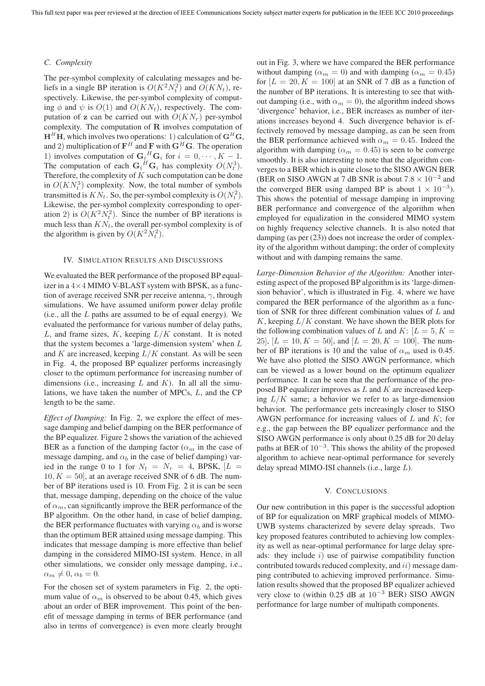## *C. Complexity*

The per-symbol complexity of calculating messages and beliefs in a single BP iteration is  $O(K^2 N_t^2)$  and  $O(K N_t)$ , respectively. Likewise, the per-symbol complexity of computing  $\phi$  and  $\psi$  is  $O(1)$  and  $O(KN_t)$ , respectively. The computation of **z** can be carried out with  $O(KN_r)$  per-symbol complexity. The computation of **R** involves computation of  $H<sup>H</sup>H$ , which involves two operations: 1) calculation of  $G<sup>H</sup>G$ , and 2) multiplication of  $\mathbf{F}^H$  and  $\mathbf{F}$  with  $\mathbf{G}^H\mathbf{G}$ . The operation 1) involves computation of  $\mathbf{G}_i^H \mathbf{G}_i$  for  $i = 0, \dots, K - 1$ . The computation of each  $\mathbf{G}_i^H \mathbf{G}_i$  has complexity  $O(N_t^3)$ . Therefore, the complexity of  $K$  such computation can be done in  $O(KN_t^3)$  complexity. Now, the total number of symbols transmitted is  $KN_t$ . So, the per-symbol complexity is  $O(N_t^2)$ . Likewise, the per-symbol complexity corresponding to operation 2) is  $O(K^2 N_t^2)$ . Since the number of BP iterations is much less than  $KN_t$ , the overall per-symbol complexity is of the algorithm is given by  $O(K^2 N_t^2)$ .

#### IV. SIMULATION RESULTS AND DISCUSSIONS

We evaluated the BER performance of the proposed BP equalizer in a  $4\times4$  MIMO V-BLAST system with BPSK, as a function of average received SNR per receive antenna,  $\gamma$ , through simulations. We have assumed uniform power delay profile  $(i.e., all the L paths are assumed to be of equal energy). We$ evaluated the performance for various number of delay paths, L, and frame sizes,  $K$ , keeping  $L/K$  constant. It is noted that the system becomes a 'large-dimension system' when L and K are increased, keeping  $L/K$  constant. As will be seen in Fig. 4, the proposed BP equalizer performs increasingly closer to the optimum performance for increasing number of dimensions (i.e., increasing  $L$  and  $K$ ). In all all the simulations, we have taken the number of MPCs, L, and the CP length to be the same.

*Effect of Damping:* In Fig. 2, we explore the effect of message damping and belief damping on the BER performance of the BP equalizer. Figure 2 shows the variation of the achieved BER as a function of the damping factor  $(\alpha_m)$  in the case of message damping, and  $\alpha_b$  in the case of belief damping) varied in the range 0 to 1 for  $N_t = N_r = 4$ , BPSK,  $\left| L \right|$  $10, K = 50$ , at an average received SNR of 6 dB. The number of BP iterations used is 10. From Fig. 2 it is can be seen that, message damping, depending on the choice of the value of  $\alpha_m$ , can significantly improve the BER performance of the BP algorithm. On the other hand, in case of belief damping, the BER performance fluctuates with varying  $\alpha_b$  and is worse than the optimum BER attained using message damping. This indicates that message damping is more effective than belief damping in the considered MIMO-ISI system. Hence, in all other simulations, we consider only message damping, i.e.,  $\alpha_m \neq 0, \alpha_b = 0.$ 

For the chosen set of system parameters in Fig. 2, the optimum value of  $\alpha_m$  is observed to be about 0.45, which gives about an order of BER improvement. This point of the benefit of message damping in terms of BER performance (and also in terms of convergence) is even more clearly brought out in Fig. 3, where we have compared the BER performance without damping ( $\alpha_m = 0$ ) and with damping ( $\alpha_m = 0.45$ ) for  $[L = 20, K = 100]$  at an SNR of 7 dB as a function of the number of BP iterations. It is interesting to see that without damping (i.e., with  $\alpha_m = 0$ ), the algorithm indeed shows 'divergence' behavior, i.e., BER increases as number of iterations increases beyond 4. Such divergence behavior is effectively removed by message damping, as can be seen from the BER performance achieved with  $\alpha_m = 0.45$ . Indeed the algorithm with damping ( $\alpha_m = 0.45$ ) is seen to be converge smoothly. It is also interesting to note that the algorithm converges to a BER which is quite close to the SISO AWGN BER (BER on SISO AWGN at 7 dB SNR is about  $7.8 \times 10^{-2}$  and the converged BER using damped BP is about  $1 \times 10^{-3}$ ). This shows the potential of message damping in improving BER performance and convergence of the algorithm when employed for equalization in the considered MIMO system on highly frequency selective channels. It is also noted that damping (as per (23)) does not increase the order of complexity of the algorithm without damping; the order of complexity without and with damping remains the same.

*Large-Dimension Behavior of the Algorithm:* Another interesting aspect of the proposed BP algorithm is its 'large-dimension behavior', which is illustrated in Fig. 4, where we have compared the BER performance of the algorithm as a function of SNR for three different combination values of L and K, keeping  $L/K$  constant. We have shown the BER plots for the following combination values of L and K:  $[L = 5, K =$ 25],  $[L = 10, K = 50]$ , and  $[L = 20, K = 100]$ . The number of BP iterations is 10 and the value of  $\alpha_m$  used is 0.45. We have also plotted the SISO AWGN performance, which can be viewed as a lower bound on the optimum equalizer performance. It can be seen that the performance of the proposed BP equalizer improves as  $L$  and  $K$  are increased keeping  $L/K$  same; a behavior we refer to as large-dimension behavior. The performance gets increasingly closer to SISO AWGN performance for increasing values of  $L$  and  $K$ ; for e.g., the gap between the BP equalizer performance and the SISO AWGN performance is only about 0.25 dB for 20 delay paths at BER of  $10^{-3}$ . This shows the ability of the proposed algorithm to achieve near-optimal performance for severely delay spread MIMO-ISI channels (i.e., large L).

#### V. CONCLUSIONS

Our new contribution in this paper is the successful adoption of BP for equalization on MRF graphical models of MIMO-UWB systems characterized by severe delay spreads. Two key proposed features contributed to achieving low complexity as well as near-optimal performance for large delay spreads: they include  $i$ ) use of pairwise compatibility function contributed towards reduced complexity, and ii) message damping contributed to achieving improved performance. Simulation results showed that the proposed BP equalizer achieved very close to (within 0.25 dB at  $10^{-3}$  BER) SISO AWGN performance for large number of multipath components.